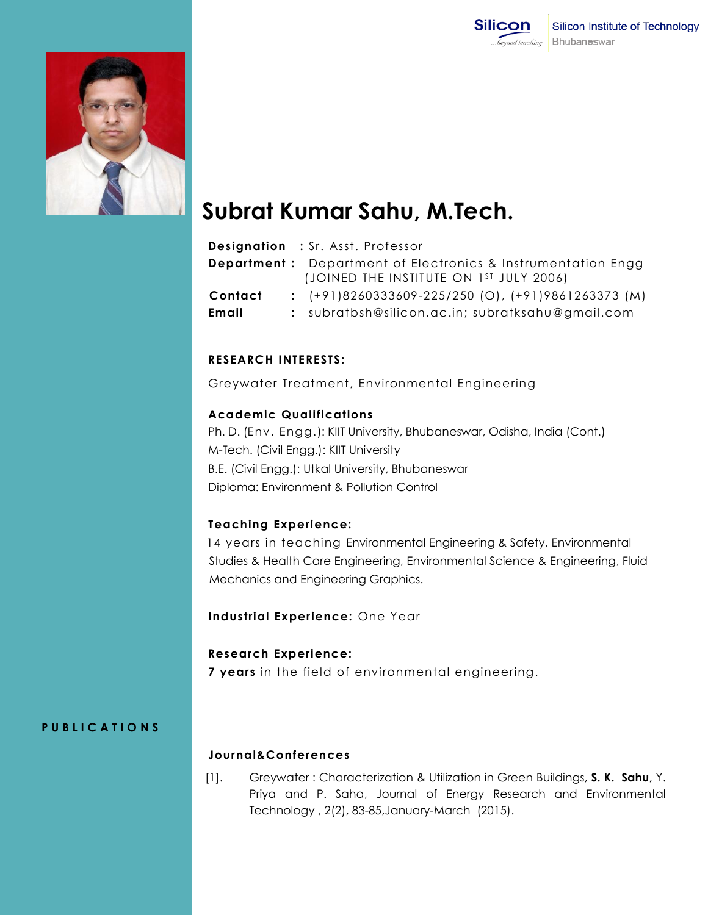



# **Subrat Kumar Sahu, M.Tech.**

|         | <b>Designation</b> : Sr. Asst. Professor                                                                       |
|---------|----------------------------------------------------------------------------------------------------------------|
|         | <b>Department:</b> Department of Electronics & Instrumentation Engg<br>(JOINED THE INSTITUTE ON 1ST JULY 2006) |
| Contact | $\div$ (+91)8260333609-225/250 (O), (+91)9861263373 (M)                                                        |
| Email   | : subratbsh@silicon.ac.in; subratksahu@gmail.com                                                               |

## **RESEARCH INTERESTS:**

Greywater Treatment, Environmental Engineering

#### **Academic Qualifications**

Ph. D. (Env. Engg.): KIIT University, Bhubaneswar, Odisha, India (Cont.) M-Tech. (Civil Engg.): KIIT University B.E. (Civil Engg.): Utkal University, Bhubaneswar Diploma: Environment & Pollution Control

#### **Teaching Experience:**

 14 years in teaching Environmental Engineering & Safety, Environmental Studies & Health Care Engineering, Environmental Science & Engineering, Fluid Mechanics and Engineering Graphics.

#### **Industrial Experience:** One Year

#### **Research Experience:**

**7 years** in the field of environmental engineering.

# **P U B L I C A T I O N S**

## **Journal&Conferences**

[1]. Greywater : Characterization & Utilization in Green Buildings, **S. K. Sahu**, Y. Priya and P. Saha, Journal of Energy Research and Environmental Technology , 2(2), 83-85,January-March (2015).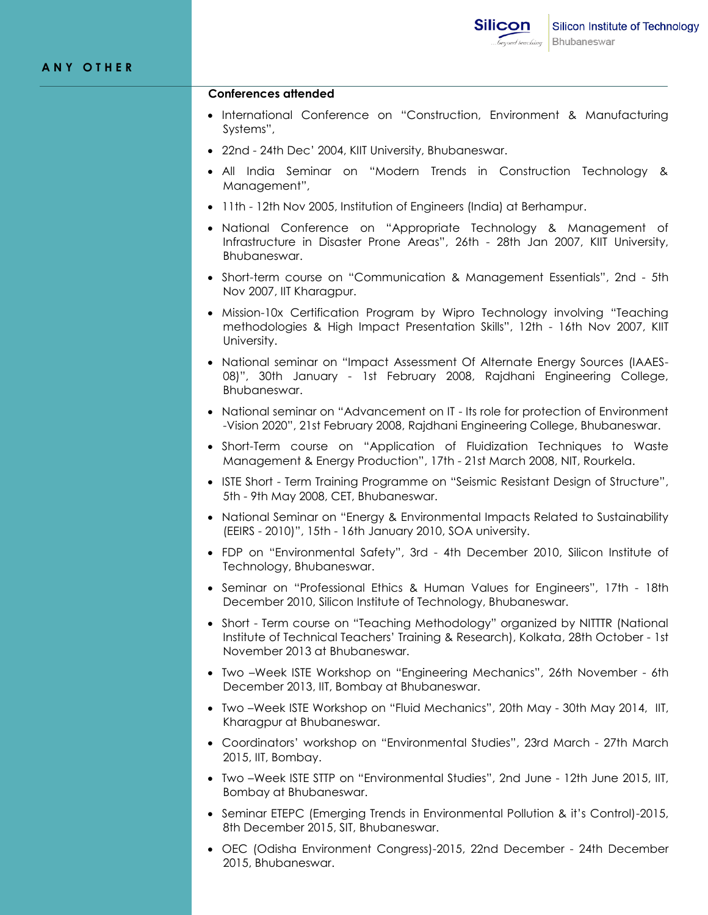#### **Conferences attended**

- International Conference on "Construction, Environment & Manufacturing Systems",
- 22nd 24th Dec' 2004, KIIT University, Bhubaneswar.
- All India Seminar on "Modern Trends in Construction Technology & Management",
- 11th 12th Nov 2005, Institution of Engineers (India) at Berhampur.
- National Conference on "Appropriate Technology & Management of Infrastructure in Disaster Prone Areas", 26th - 28th Jan 2007, KIIT University, Bhubaneswar.
- Short-term course on "Communication & Management Essentials", 2nd 5th Nov 2007, IIT Kharagpur.
- Mission-10x Certification Program by Wipro Technology involving "Teaching methodologies & High Impact Presentation Skills", 12th - 16th Nov 2007, KIIT University.
- National seminar on "Impact Assessment Of Alternate Energy Sources (IAAES-08)", 30th January - 1st February 2008, Rajdhani Engineering College, Bhubaneswar.
- National seminar on "Advancement on IT Its role for protection of Environment -Vision 2020", 21st February 2008, Rajdhani Engineering College, Bhubaneswar.
- Short-Term course on "Application of Fluidization Techniques to Waste Management & Energy Production", 17th - 21st March 2008, NIT, Rourkela.
- ISTE Short Term Training Programme on "Seismic Resistant Design of Structure", 5th - 9th May 2008, CET, Bhubaneswar.
- National Seminar on "Energy & Environmental Impacts Related to Sustainability (EEIRS - 2010)", 15th - 16th January 2010, SOA university.
- FDP on "Environmental Safety", 3rd 4th December 2010, Silicon Institute of Technology, Bhubaneswar.
- Seminar on "Professional Ethics & Human Values for Engineers", 17th 18th December 2010, Silicon Institute of Technology, Bhubaneswar.
- Short Term course on "Teaching Methodology" organized by NITTTR (National Institute of Technical Teachers' Training & Research), Kolkata, 28th October - 1st November 2013 at Bhubaneswar.
- Two –Week ISTE Workshop on "Engineering Mechanics", 26th November 6th December 2013, IIT, Bombay at Bhubaneswar.
- Two –Week ISTE Workshop on "Fluid Mechanics", 20th May 30th May 2014, IIT, Kharagpur at Bhubaneswar.
- Coordinators' workshop on "Environmental Studies", 23rd March 27th March 2015, IIT, Bombay.
- Two –Week ISTE STTP on "Environmental Studies", 2nd June 12th June 2015, IIT, Bombay at Bhubaneswar.
- Seminar ETEPC (Emerging Trends in Environmental Pollution & it's Control)-2015, 8th December 2015, SIT, Bhubaneswar.
- OEC (Odisha Environment Congress)-2015, 22nd December 24th December 2015, Bhubaneswar.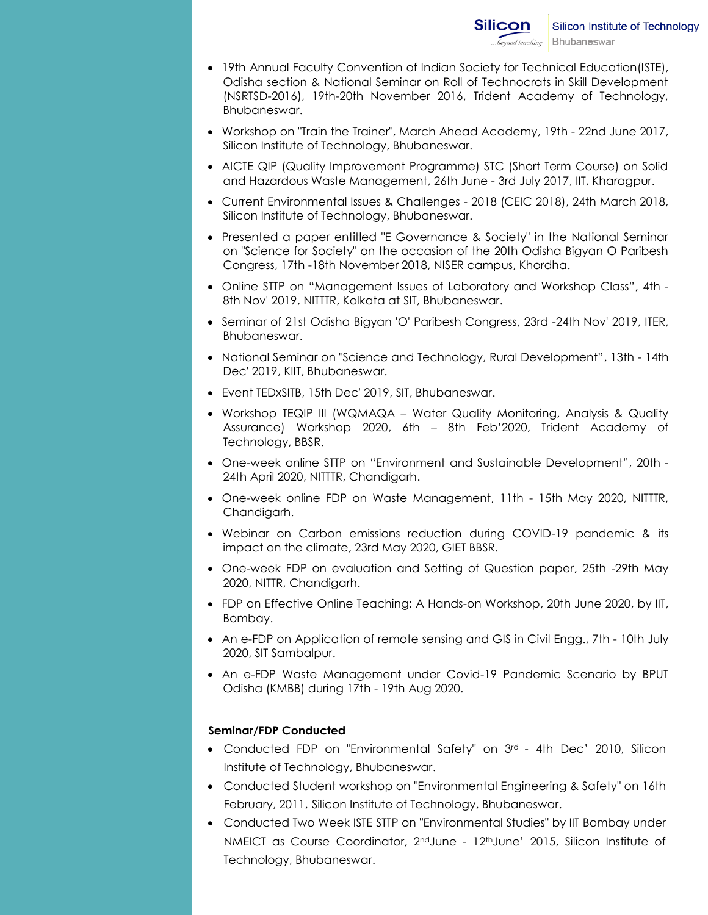- 19th Annual Faculty Convention of Indian Society for Technical Education(ISTE), Odisha section & National Seminar on Roll of Technocrats in Skill Development (NSRTSD-2016), 19th-20th November 2016, Trident Academy of Technology, Bhubaneswar.
- Workshop on "Train the Trainer", March Ahead Academy, 19th 22nd June 2017, Silicon Institute of Technology, Bhubaneswar.
- AICTE QIP (Quality Improvement Programme) STC (Short Term Course) on Solid and Hazardous Waste Management, 26th June - 3rd July 2017, IIT, Kharagpur.
- Current Environmental Issues & Challenges 2018 (CEIC 2018), 24th March 2018, Silicon Institute of Technology, Bhubaneswar.
- Presented a paper entitled "E Governance & Society" in the National Seminar on "Science for Society" on the occasion of the 20th Odisha Bigyan O Paribesh Congress, 17th -18th November 2018, NISER campus, Khordha.
- Online STTP on "Management Issues of Laboratory and Workshop Class", 4th 8th Nov' 2019, NITTTR, Kolkata at SIT, Bhubaneswar.
- Seminar of 21st Odisha Bigyan 'O' Paribesh Congress, 23rd -24th Nov' 2019, ITER, Bhubaneswar.
- National Seminar on "Science and Technology, Rural Development", 13th 14th Dec' 2019, KIIT, Bhubaneswar.
- Event TEDxSITB, 15th Dec' 2019, SIT, Bhubaneswar.
- Workshop TEQIP III (WQMAQA Water Quality Monitoring, Analysis & Quality Assurance) Workshop 2020, 6th – 8th Feb'2020, Trident Academy of Technology, BBSR.
- One-week online STTP on "Environment and Sustainable Development", 20th 24th April 2020, NITTTR, Chandigarh.
- One-week online FDP on Waste Management, 11th 15th May 2020, NITTTR, Chandigarh.
- Webinar on Carbon emissions reduction during COVID-19 pandemic & its impact on the climate, 23rd May 2020, GIET BBSR.
- One-week FDP on evaluation and Setting of Question paper, 25th -29th May 2020, NITTR, Chandigarh.
- FDP on Effective Online Teaching: A Hands-on Workshop, 20th June 2020, by IIT, Bombay.
- An e-FDP on Application of remote sensing and GIS in Civil Engg., 7th 10th July 2020, SIT Sambalpur.
- An e-FDP Waste Management under Covid-19 Pandemic Scenario by BPUT Odisha (KMBB) during 17th - 19th Aug 2020.

## **Seminar/FDP Conducted**

- Conducted FDP on "Environmental Safety" on 3rd 4th Dec' 2010, Silicon Institute of Technology, Bhubaneswar.
- Conducted Student workshop on "Environmental Engineering & Safety" on 16th February, 2011, Silicon Institute of Technology, Bhubaneswar.
- Conducted Two Week ISTE STTP on "Environmental Studies" by IIT Bombay under NMEICT as Course Coordinator, 2ndJune - 12thJune' 2015, Silicon Institute of Technology, Bhubaneswar.